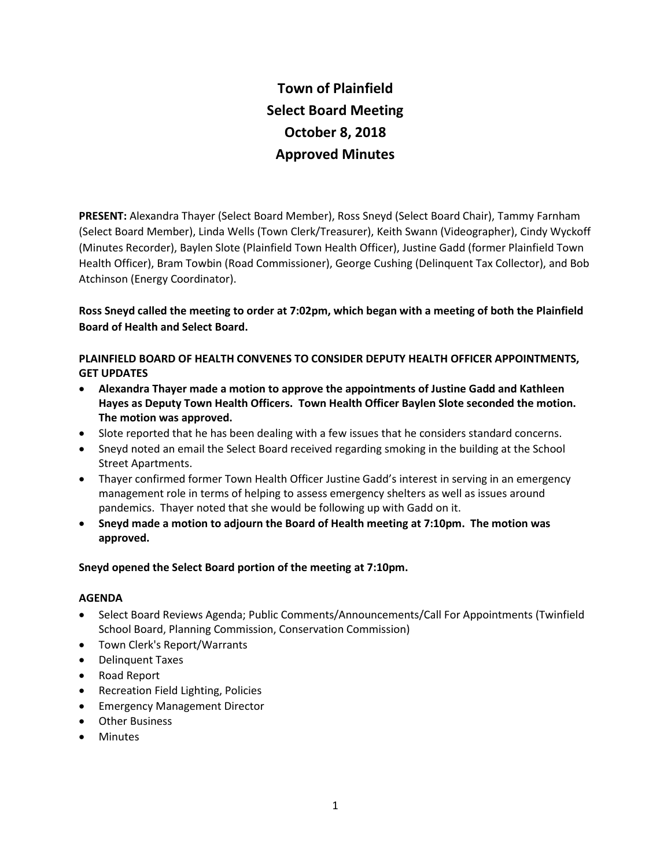# **Town of Plainfield Select Board Meeting October 8, 2018 Approved Minutes**

**PRESENT:** Alexandra Thayer (Select Board Member), Ross Sneyd (Select Board Chair), Tammy Farnham (Select Board Member), Linda Wells (Town Clerk/Treasurer), Keith Swann (Videographer), Cindy Wyckoff (Minutes Recorder), Baylen Slote (Plainfield Town Health Officer), Justine Gadd (former Plainfield Town Health Officer), Bram Towbin (Road Commissioner), George Cushing (Delinquent Tax Collector), and Bob Atchinson (Energy Coordinator).

# **Ross Sneyd called the meeting to order at 7:02pm, which began with a meeting of both the Plainfield Board of Health and Select Board.**

# **PLAINFIELD BOARD OF HEALTH CONVENES TO CONSIDER DEPUTY HEALTH OFFICER APPOINTMENTS, GET UPDATES**

- **Alexandra Thayer made a motion to approve the appointments of Justine Gadd and Kathleen Hayes as Deputy Town Health Officers. Town Health Officer Baylen Slote seconded the motion. The motion was approved.**
- Slote reported that he has been dealing with a few issues that he considers standard concerns.
- Sneyd noted an email the Select Board received regarding smoking in the building at the School Street Apartments.
- Thayer confirmed former Town Health Officer Justine Gadd's interest in serving in an emergency management role in terms of helping to assess emergency shelters as well as issues around pandemics. Thayer noted that she would be following up with Gadd on it.
- **Sneyd made a motion to adjourn the Board of Health meeting at 7:10pm. The motion was approved.**

# **Sneyd opened the Select Board portion of the meeting at 7:10pm.**

## **AGENDA**

- Select Board Reviews Agenda; Public Comments/Announcements/Call For Appointments (Twinfield School Board, Planning Commission, Conservation Commission)
- Town Clerk's Report/Warrants
- Delinquent Taxes
- Road Report
- Recreation Field Lighting, Policies
- **•** Emergency Management Director
- Other Business
- Minutes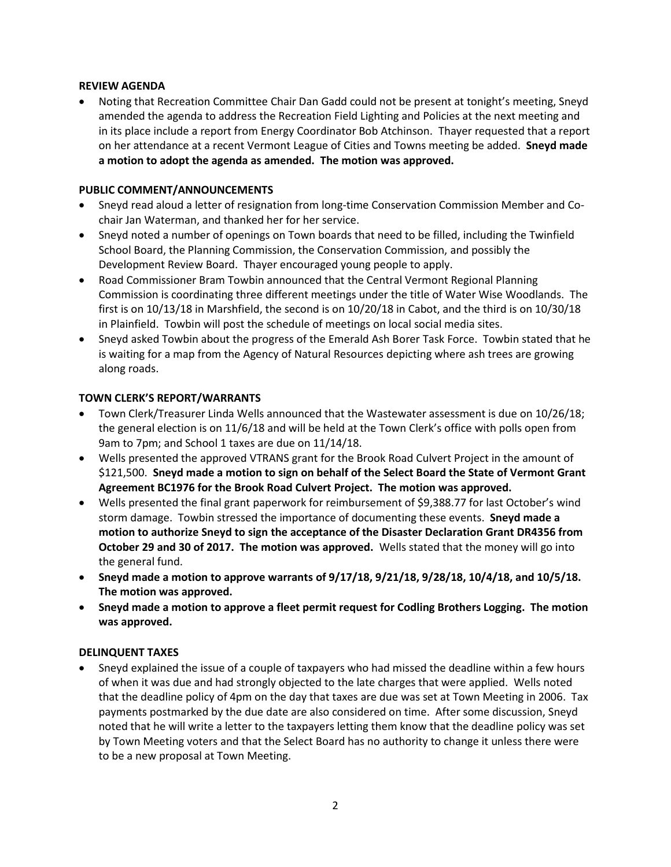## **REVIEW AGENDA**

 Noting that Recreation Committee Chair Dan Gadd could not be present at tonight's meeting, Sneyd amended the agenda to address the Recreation Field Lighting and Policies at the next meeting and in its place include a report from Energy Coordinator Bob Atchinson. Thayer requested that a report on her attendance at a recent Vermont League of Cities and Towns meeting be added. **Sneyd made a motion to adopt the agenda as amended. The motion was approved.**

## **PUBLIC COMMENT/ANNOUNCEMENTS**

- Sneyd read aloud a letter of resignation from long-time Conservation Commission Member and Cochair Jan Waterman, and thanked her for her service.
- Sneyd noted a number of openings on Town boards that need to be filled, including the Twinfield School Board, the Planning Commission, the Conservation Commission, and possibly the Development Review Board. Thayer encouraged young people to apply.
- Road Commissioner Bram Towbin announced that the Central Vermont Regional Planning Commission is coordinating three different meetings under the title of Water Wise Woodlands. The first is on 10/13/18 in Marshfield, the second is on 10/20/18 in Cabot, and the third is on 10/30/18 in Plainfield. Towbin will post the schedule of meetings on local social media sites.
- Sneyd asked Towbin about the progress of the Emerald Ash Borer Task Force. Towbin stated that he is waiting for a map from the Agency of Natural Resources depicting where ash trees are growing along roads.

### **TOWN CLERK'S REPORT/WARRANTS**

- Town Clerk/Treasurer Linda Wells announced that the Wastewater assessment is due on 10/26/18; the general election is on 11/6/18 and will be held at the Town Clerk's office with polls open from 9am to 7pm; and School 1 taxes are due on 11/14/18.
- Wells presented the approved VTRANS grant for the Brook Road Culvert Project in the amount of \$121,500. **Sneyd made a motion to sign on behalf of the Select Board the State of Vermont Grant Agreement BC1976 for the Brook Road Culvert Project. The motion was approved.**
- Wells presented the final grant paperwork for reimbursement of \$9,388.77 for last October's wind storm damage. Towbin stressed the importance of documenting these events. **Sneyd made a motion to authorize Sneyd to sign the acceptance of the Disaster Declaration Grant DR4356 from October 29 and 30 of 2017. The motion was approved.** Wells stated that the money will go into the general fund.
- **Sneyd made a motion to approve warrants of 9/17/18, 9/21/18, 9/28/18, 10/4/18, and 10/5/18. The motion was approved.**
- **Sneyd made a motion to approve a fleet permit request for Codling Brothers Logging. The motion was approved.**

#### **DELINQUENT TAXES**

 Sneyd explained the issue of a couple of taxpayers who had missed the deadline within a few hours of when it was due and had strongly objected to the late charges that were applied. Wells noted that the deadline policy of 4pm on the day that taxes are due was set at Town Meeting in 2006. Tax payments postmarked by the due date are also considered on time. After some discussion, Sneyd noted that he will write a letter to the taxpayers letting them know that the deadline policy was set by Town Meeting voters and that the Select Board has no authority to change it unless there were to be a new proposal at Town Meeting.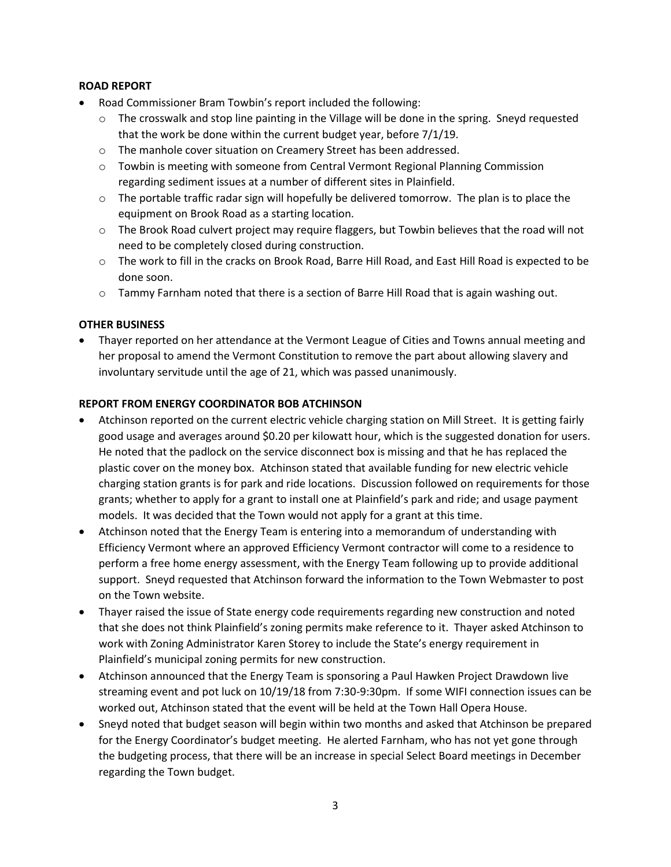# **ROAD REPORT**

- Road Commissioner Bram Towbin's report included the following:
	- $\circ$  The crosswalk and stop line painting in the Village will be done in the spring. Sneyd requested that the work be done within the current budget year, before 7/1/19.
	- o The manhole cover situation on Creamery Street has been addressed.
	- o Towbin is meeting with someone from Central Vermont Regional Planning Commission regarding sediment issues at a number of different sites in Plainfield.
	- o The portable traffic radar sign will hopefully be delivered tomorrow. The plan is to place the equipment on Brook Road as a starting location.
	- $\circ$  The Brook Road culvert project may require flaggers, but Towbin believes that the road will not need to be completely closed during construction.
	- o The work to fill in the cracks on Brook Road, Barre Hill Road, and East Hill Road is expected to be done soon.
	- o Tammy Farnham noted that there is a section of Barre Hill Road that is again washing out.

# **OTHER BUSINESS**

 Thayer reported on her attendance at the Vermont League of Cities and Towns annual meeting and her proposal to amend the Vermont Constitution to remove the part about allowing slavery and involuntary servitude until the age of 21, which was passed unanimously.

# **REPORT FROM ENERGY COORDINATOR BOB ATCHINSON**

- Atchinson reported on the current electric vehicle charging station on Mill Street. It is getting fairly good usage and averages around \$0.20 per kilowatt hour, which is the suggested donation for users. He noted that the padlock on the service disconnect box is missing and that he has replaced the plastic cover on the money box. Atchinson stated that available funding for new electric vehicle charging station grants is for park and ride locations. Discussion followed on requirements for those grants; whether to apply for a grant to install one at Plainfield's park and ride; and usage payment models. It was decided that the Town would not apply for a grant at this time.
- Atchinson noted that the Energy Team is entering into a memorandum of understanding with Efficiency Vermont where an approved Efficiency Vermont contractor will come to a residence to perform a free home energy assessment, with the Energy Team following up to provide additional support. Sneyd requested that Atchinson forward the information to the Town Webmaster to post on the Town website.
- Thayer raised the issue of State energy code requirements regarding new construction and noted that she does not think Plainfield's zoning permits make reference to it. Thayer asked Atchinson to work with Zoning Administrator Karen Storey to include the State's energy requirement in Plainfield's municipal zoning permits for new construction.
- Atchinson announced that the Energy Team is sponsoring a Paul Hawken Project Drawdown live streaming event and pot luck on 10/19/18 from 7:30-9:30pm. If some WIFI connection issues can be worked out, Atchinson stated that the event will be held at the Town Hall Opera House.
- Sneyd noted that budget season will begin within two months and asked that Atchinson be prepared for the Energy Coordinator's budget meeting. He alerted Farnham, who has not yet gone through the budgeting process, that there will be an increase in special Select Board meetings in December regarding the Town budget.